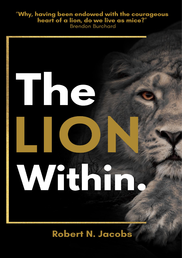"Why, having been endowed with the courageous heart of a lion, do we live as mice?" **Brendon Burchard** 



# **Robert N. Jacobs**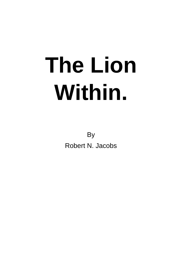# **The Lion Within.**

By Robert N. Jacobs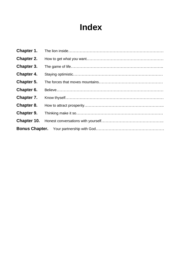# **Index**

| <b>Bonus Chapter.</b> |
|-----------------------|
|                       |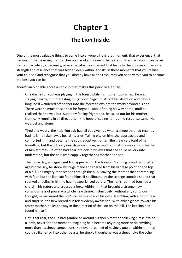## **The Lion Inside.**

One of the most valuable things to come into anyone's life is that moment, that experience, that person, or that learning that touches your soul and reveals the real you. In some cases it can be an incident, accident, emergency, or even a catastrophic event that leads to the discovery of an inner strength and resilience that was hidden deep within, and it's in these moments that you realise your true self and recognise that you already have all the resources you need within you to become the best you can be.

There's an old fable about a lion cub that makes this point beautifully…

One day, a lion cub was playing in the forest while his mother took a nap. He was staying nearby, but interesting things soon began to attract his attention and before long, he'd wandered off deeper into the forest to explore the world beyond his den. There were so much to see that he forgot all about finding his way home, until he realised that he was lost. Suddenly feeling frightened, he called out for his mother, frantically running in all directions in the hope of seeing her, but no response came. He was lost and alone.

Tired and weary, the little lion cub had all but given up when a sheep that had recently had its lamb taken away heard his cries. Taking pity on him, she approached and comforted him, and became the cub's adoptive mother. She grew very fond of her foundling, but the cub very quickly grew in size, so much so that she was almost fearful of him at times. He often had a far-off look in his eyes that she could never quite understand, but the pair lived happily together as mother and son.

Then, one day, a magnificent lion appeared on the horizon. Standing proud, silhouetted against the sky, he shook his huge mane and roared from his vantage point on the top of a hill. The mighty roar echoed through the hills, leaving the mother sheep trembling with fear, but the lion cub found himself spellbound by the strange sound; a sound that sparked a feeling in him he hadn't experienced before. The lion's roar had touched a chord in his nature and aroused a force within him that brought a strange new consciousness of power – a whole new desire. Instinctively, without any conscious thought, he answered the lion's call with a roar of his own. Trembling with a mix of fear and surprise, the bewildered cub felt suddenly awakened. With only a glance toward his foster mother, he leapt away in the direction of the lion on the hill. The lost lion had found himself.

Until that roar, the cub had gambolled around his sheep mother believing himself to be a lamb, never for one moment imagining he'd become anything more or do anything more than his sheep companions. He never dreamed of having a power within him that could strike terror into other beasts, he simply thought he was a sheep. Like the other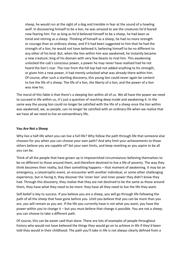sheep, he would run at the sight of a dog and tremble in fear at the sound of a howling wolf. In discovering himself to be a lion, he was amazed to see the creatures he'd feared now fearing him. For as long as he'd believed himself to be a sheep, he had been as timid and retiring as a sheep. Thinking of himself as a sheep, he had no more strength or courage than an ordinary sheep, and if it had been suggested to him that he had the strength of a lion, he would not have believed it, believing himself to be no different to any other of his kind. But, when the lion within him was awakened, he instantly became a new creature; king of his domain with very few beasts to rival him. This awakening unlocked the cub's conscious power, a power he may never have realised had he not heard the lion's roar. The roar from the hill top had not added anything to his strength, or given him a new power, it had merely unlocked what was already there within him. Of course, after such a startling discovery, this young lion could never again be content to live the life of a sheep. The life of a lion, the liberty of a lion, and the power of a lion was now his.

The moral of this fable is that there's a sleeping lion within all of us. We all have the power we need to succeed in life within us, it's just a question of reaching deep inside and awakening it. In the same way the young lion could no longer be satisfied with the life of a sheep once the lion within was awakened, we, as people, can no longer be satisfied with an ordinary life when we realise that we have all we need to live an extraordinary life.

## **You Are Not a Sheep**

Why live a half-life when you can live a full life? Why follow the path through life that someone else chooses for you when you can choose your own path? And why limit your achievements to those others believe you are capable of? Set your own limits, and keep resetting as you aspire to be all you can be.

Think of all the people that have grown up in impoverished circumstances believing themselves to be no different to those around them, and therefore destined to live a life of poverty. The way they think becomes their reality, but then something happens – that moment of awakening. It may be an emergency, a catastrophic event, an encounter with another individual, or some other challenging experience, but in facing it, they discover the 'inner lion' and inner power they didn't know they had. Through this discovery, they realise that they are not destined to be the same as those around them, they have what they need to be more: they have all they need to live the life they want.

Self-belief is key to success. If you believe you are a sheep, you will go through life following the path of all the sheep that have gone before you. Until you believe that you can be more than you are, you will remain as you are. If the life you currently have is not what you want, you have the power within you to change it – but you must *believe* that change is possible. You are not a sheep; you can choose to take a different path.

Of course, this can be easier said than done. There are lots of examples of people throughout history who would not have believed the things they would go on to achieve in life if they'd been told they would in their childhood. The path you'll take in life is not always clearly defined from a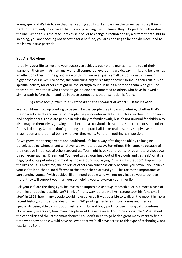young age, and it's fair to say that many young adults will embark on the career path they think is right for them, only to discover that it's not providing the fulfilment they'd hoped for further down the line. When this is the case, it takes self-belief to change direction and try a different path, but in so doing, you are choosing not to settle for a half-life, you are choosing to be and do more, and to realise your true potential.

## **You Are Not Alone**

It really is your life to live and your success to achieve, but no one makes it to the top of their 'game' on their own. As humans, we're all connected; everything we do, say, think, and believe has an effect on others. In the grand scale of things, we're all just a small part of something much bigger than ourselves. For some, the something bigger is a higher power found in their religious or spiritual beliefs, for others it might be the strength found in being a part of a team with genuine team spirit. Even those who choose to go it alone are connected to others who have followed a similar path before them, and it's in these connections that inspiration is found.

## *"If I have seen further, it is by standing on the shoulders of giants."* – Isaac Newton

Many children grow up wanting to be just like the people they know and admire, whether that's their parents, aunts and uncles, or people they encounter in daily life such as teachers, bus drivers, and shopkeepers. These are people in roles they're familiar with, but it's not unusual for children to also imagine themselves growing up to become a storybook character, a superhero, or some other fantastical being. Children don't get hung up on practicalities or realities, they simply use their imagination and dream of being whatever they want. For them, nothing is impossible.

As we grow into teenage years and adulthood, life has a way of taking the ability to imagine ourselves being whoever and whatever we want to be away. Sometimes this happens because of the negative influences of others around us. You might have your dreams for your future shot down by someone saying, "Dream on! You need to get your head out of the clouds and get real," or little nagging doubts put into your mind by those around you saying, "Things like that don't happen to the likes of us." Over time, the beliefs of others can subconsciously become your own… you believe yourself to be a sheep, no different to the other sheep around you. This raises the importance of surrounding yourself with positive, like-minded people who will not only inspire you to achieve more, they will support you in all you do, helping you to awaken your inner lion.

Ask yourself, are the things you believe to be impossible *actually* impossible, or is it more a case of them just not being possible *yet*? Think of it this way, before Neil Armstrong took his "one small step" in 1969, how many people would have believed it was possible to walk on the moon? In more recent history, consider the idea of having 3-D printing machines in our homes and medical specialists being able to print out prosthetic limbs and body parts for use in surgical procedures. Not so many years ago, how many people would have believed this to be impossible? What about the capabilities of the latest smartphones? You don't need to go back a great many years to find a time when few people would have believed that we'd all have access to this type of technology, not just James Bond.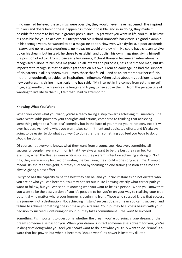If no one had believed these things were possible, they would never have happened. The inspired thinkers and doers behind these happenings *made* it possible, and in so doing, they made it possible for others to believe in greater possibilities. To get what you want in life, you must believe it's possible for you to achieve it. Entrepreneur Sir Richard Branson's backstory is a good example. In his teenage years, he wanted to be a magazine editor. However, with dyslexia, a poor academic history, and no relevant experience, no magazine would employ him. He could have chosen to give up on his dream, but instead, he chose to establish and publish his own magazine, giving himself the position of editor. From those early beginnings, Richard Branson became an internationally recognised billionaire business magnate. To all intents and purposes, he's a self-made man, but it's important to recognise that he didn't get there on his own. From an early age, he had the support of his parents in all his endeavours – even those that failed – and as an entrepreneur herself, his mother undoubtedly provided an inspirational influence. When asked about his decisions to start new ventures, his airline in particular, he has said, "My interest in life comes from setting myself huge, apparently unachievable challenges and trying to rise above them… from the perspective of wanting to live life to the full, I felt that I had to attempt it."

## **Knowing What You Want**

When you know what you want, you're already taking a step towards achieving it – mentally. The word 'want' adds power to your thoughts and actions, compared to thinking that achieving something might be a 'nice idea' someday but in the back of your mind you're not convinced it will ever happen. Achieving what you want takes commitment and dedicated effort, and it's always going to be easier to do what you *want* to do rather than something you feel you *have* to do, or *should* be doing.

Of course, not everyone knows what they want from a young age. However, something all successful people have in common is that they always want to be the best they can be. For example, when the Beatles were writing songs, they weren't intent on achieving a string of No.1 hits, they were simply focused on writing the best song they could – one song at a time. Olympic medallists aspire to win gold, but they succeed by focusing on one training session at a time and always giving a best effort.

*Everyone* has the capacity to be the best they can be, and your circumstances do not dictate who you are or who you can become. You may not set out in life knowing exactly what career path you want to follow, but you *can* set out knowing who you want to be as a person. When you know that you want to be the best version of you it's possible to be, you're on your way to realising your true potential – no matter where your journey is beginning from. Those who succeed know that success is a journey, not a destination. Not achieving 'instant' success doesn't mean you can't succeed, and failure to achieve something doesn't make *you* a failure. Your journey to success begins with your decision to succeed. Continuing on your journey takes commitment – the *want* to succeed.

Something it's important to question is whether the dream you're pursuing is *your* dream, or the dream someone else has for you. When your dream is in fact someone else's dream for you, you're in danger of doing what you feel you *should* want to do, not what you truly want to do. 'Want' is a word that has power, but when it becomes 'should want', its power is instantly diluted.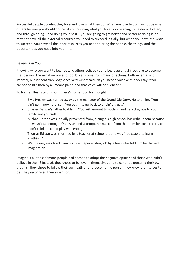Successful people do what they love and love what they do. What you love to do may not be what others believe you should do, but if you're doing what you love, you're going to be doing it often, and through doing – and doing your best – you are going to get better and better at doing it. You may not have all the external resources you need to succeed initially, but when you have the *want*  to succeed, you have all the inner resources you need to bring the people, the things, and the opportunities you need into your life.

## **Believing in You**

Knowing who you want to be, not who others believe you to be, is essential if you are to become that person. The negative voices of doubt can come from many directions, both external and internal, but Vincent Van Gogh once very wisely said, "If you hear a voice within you say, 'You cannot paint,' then by all means paint, and that voice will be silenced."

To further illustrate this point, here's some food for thought:

- Elvis Presley was turned away by the manager of the Grand Ole Opry. He told him, "You ain't goin' nowhere, son. You ought to go back to drivin' a truck."
- Charles Darwin's father told him, "You will amount to nothing and be a disgrace to your family and yourself."
- Michael Jordan was initially prevented from joining his high school basketball team because he wasn't tall enough. On his second attempt, he was cut from the team because the coach didn't think he could play well enough.
- Thomas Edison was informed by a teacher at school that he was "too stupid to learn anything."
- Walt Disney was fired from his newspaper writing job by a boss who told him he "lacked imagination."

Imagine if all these famous people had chosen to adopt the negative opinions of those who didn't believe in them? Instead, they chose to believe in themselves and to continue pursuing their own dreams. They chose to follow their own path and to become the person they knew themselves to be. They recognised their inner lion.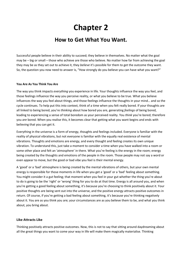## **How to Get What You Want.**

Successful people believe in their ability to succeed; they believe in themselves. No matter what the goal may be – big or small – those who achieve are those who believe. No matter how far from achieving the goal they may be as they set out to achieve it, they *believe* it's possible for them to get the outcome they want. So, the question you now need to answer is, "How strongly do you believe you can have what you want?"

## **You Are As You Think You Are**

The way you think impacts *everything* you experience in life. Your thoughts influence the way you feel, and those feelings influence the way you perceive reality, or what you believe to be true. What you believe influences the way you feel about things, and those feelings influence the thoughts in your mind… and so the cycle continues. To help put this into context, think of a time when you felt really bored. If your thoughts are all linked to being bored, you're *thinking* about how bored you are, generating *feelings* of being bored, leading to experiencing a sense of total boredom as your perceived reality. You *think* you're bored; therefore you *are* bored. When you realise this, it becomes clear that getting what you want begins and ends with believing that you can get it.

Everything in the universe is a form of energy, thoughts and feelings included. Everyone is familiar with the reality of physical vibrations, but not everyone is familiar with the equally real existence of mental vibrations. Thoughts and emotions are energy, and every thought and feeling creates its own unique vibration. To understand this, just take a moment to consider a time when you have walked into a room or some other place and felt an 'atmosphere' in there. What you're feeling is the energy in the room; energy being created by the thoughts and emotions of the people in the room. Those people may not say a word or even appear to move, but the good or bad vibe you feel is their mental energy.

A 'good' or a 'bad' atmosphere is being created by the mental vibrations of others, but your own mental energy is responsible for those moments in life when you get a 'good' or a 'bad' feeling about something. You might consider it a gut feeling; that moment when you feel in your gut whether the thing you're about to do is going to be the 'right' or 'wrong' thing for you to do at that time. Energy is all around you, and when you're getting a good feeling about something, it's because you're choosing to think positively about it. Your positive thoughts are being sent out into the universe, and the positive energy attracts positive outcomes in return. Of course, if you're getting a bad feeling about something, it's because you're thinking negatively about it. You are as you think you are; your circumstances are as you believe them to be, and what you think about, you bring about.

## **Like Attracts Like**

Thinking positively attracts positive outcomes. Now, this is not to say that sitting around daydreaming about all the great things you want to come your way in life will make them magically materialise. Thinking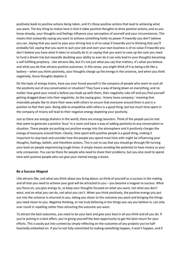positively leads to positive actions being taken, and it's those positive actions that lead to achieving what you want. The key thing to realise here is that it takes positive thoughts to drive positive actions, and as you know already, your thoughts and feelings influence your perception of yourself and your circumstances. This means that outwardly saying you want to achieve something holds no power if inwardly you don't believe you can. *Saying* that you want to pass your driving test is of no value if inwardly you're thinking that you'll probably fail; *saying* that you want to quit your job and start your own business is of no value if inwardly you don't believe you have what it takes to actually do it; or *saying* that you want to save up the cash you need to fund a dream trip but inwardly doubting your ability to ever do it can only lead to your thoughts becoming a self-fulfilling prophecy. Like attracts like, but it's not just what you say that matters, it's what you believe and what you do that attracts positive outcomes. In this sense, you might think of it as being a bit like a battery – when you think positively, your thoughts charge up the energy in the universe, and when you think negatively, those thoughts deplete it.

On the topic of energy drains, have you ever found yourself in the company of people who seem to suck all the positivity out of any conversation or situation? They have a way of being down on everything, and no matter how good your mood is before you hook up with them, their negativity rubs off and you find yourself getting dragged down into their negativity. As the saying goes, 'misery loves company,' meaning that miserable people like to share their woes with others to ensure that everyone around them is put in a position to feel their pain. Being able to empathise with others is a good thing, but too much time spent in the company of misery will lead to their negative energy depleting your positivity.

Just as there are energy drainers in the world, there are energy boosters. Think of the people you've met that seem to generate a positive 'buzz' in a room and have a way of adding positivity to any conversation or situation. These people are putting out positive energy into the atmosphere and it positively charges the energy of everyone around them. Clearly, time spent with positive people is a good thing, making it important to step back and consider how the people you spend most time with might be influencing your thoughts, feelings, beliefs, and therefore actions. This is not to say that you should go through life turning your back on people experiencing tough times, it simply means avoiding the potential to have misery as your only companion. You can be there for people who need to share their problems, but you also need to spend time with positive people who can give your mental energy a boost.

#### **Be a Success Magnet**

Like attracts like, and what you think about you bring about, so think of yourself as a success in the making and all that you need to achieve your goal will be attracted to you – you become a magnet to success. What you focus on, you give energy to, so keep your thoughts focused on what you want, not what you don't want, and on what you *can* do, not what you can't. When you think positively, the positive energy you put out into the universe is returned to you, taking you closer to the outcome you want and bringing the things you need closer to you. Negative thinking, or not truly believing in the things you say you believe in, can only ever result in repelling rather than attracting the outcome you want.

To attract the best outcomes, you need to be your best and give your best in all you think and all you do. If you're putting in a best effort, you're giving yourself the best opportunity to get the best return for your efforts. This is easily put into context by simply reflecting on the outcomes of any projects you've halfheartedly embarked on. If you're not fully committed to making something happen, it won't happen, and if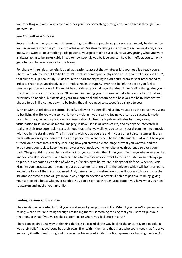you're setting out with doubts over whether you'll see something through, you won't see it through. Like attracts like.

## **See Yourself as a Success**

Success is always going to mean different things to different people, so *your* success can only be defined by you. In knowing what it is you want to achieve, you're already taking a step towards achieving it and, as you know, the *want* to do something adds power to your potential to succeed. However, getting what you want is always going to be inextricably linked to how strongly you believe you can have it. In effect, you can only get what you believe is yours for the taking.

For those with religious beliefs, it's perhaps easier to accept that whatever it is you need is already yours. There's a quote by Harriet Emilie Cady, 19<sup>th</sup> century homeopathic physician and author of 'Lessons in Truth', that sums this up beautifully: "A desire in the heart for anything is God's sure promise sent beforehand to indicate that it is yours already in the limitless realm of supply." With this belief, the desire you feel to pursue a particular course in life might be considered your calling – that deep inner feeling that guides you in the direction of your true purpose. Of course, discovering your purpose can take time and a bit of trial and error may be needed, but achieving your true potential and becoming the best you can be in whatever you choose to do in life comes down to believing that all you need to succeed is available to you.

With or without religious or spiritual beliefs, believing in yourself and seeing yourself as the person you want to be, living the life you want to live, is key to making it your reality. Seeing yourself as a success is made possible through a technique known as visualisation. Utilised by top-level athletes for many years, visualisation (also known as mental imagery) is now used in all areas of life, and by anyone interested in realising their true potential. It's a technique that effectively allows you to turn your dream life into a movie, with you in the starring role. The film begins with you as you are and in your current circumstances. It then ends with you living your dream life as the person you want to be. The bit in the middle is all about how you turned your dream into a reality, including how you created a clear image of what you wanted, and the action steps you took to keep moving towards your goal, even when obstacles threatened to block your path. The great thing about visualisation is that you can watch the film in your mind's-eye whenever you like, and you can skip backwards and forwards to whatever scenes you want to focus on. Life doesn't always go to plan, but without a clear plan of where you're aiming to be, you're in danger of drifting. When you can visualise your success, you're sending out positive mental energy into the universe which will be returned to you in the form of the things you need. And, being able to visualise how you will successfully overcome the inevitable obstacles that will get in your way helps to develop a powerful habit of positive thinking, giving your self-belief a boost whenever needed. You could say that through visualisation you have what you need to awaken and inspire your inner lion.

## **Finding Passion and Purpose**

The question now is what to do if you're not sure of your purpose in life. What if you haven't experienced a calling; what if you're drifting through life feeling there's something missing that you just can't put your finger on, or what if you've reached a point in life where you feel stuck in a rut?

There's an inspirational way of thinking that can be traced all the way back to the ancient Norse people. It was their belief that everyone has their own "fire" within them and that those who could keep that fire alive and carry it with them throughout life would achieve most in life. The fire represents a burning passion. As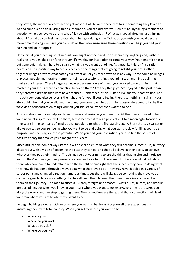they saw it, the individuals destined to get most out of life were those that found something they loved to do and continued to do it. Using this as inspiration, you can discover your own "fire" by taking a moment to question what you love to do, and what fills you with enthusiasm? What gets you all fired up just thinking about it? What do you feel passionate about being or doing in life? What do you wish you could devote more time to doing – or wish you could do all the time? Answering these questions will help you find your passion and your purpose.

Of course, if you're feeling stuck in a rut, you might not feel fired up or inspired by anything and, without realising it, you might be drifting through life waiting for inspiration to come your way. Your inner fire has all but gone out, making it hard to visualise what it is you want out of life. At times like this, an 'inspiration board' can be a positive way to actively seek out the things that are going to relight your fire! Gather together images or words that catch your attention, or you feel drawn to in any way. These could be images of places, people, memorable moments in time, possessions, things you admire, or anything at all that sparks your interest. These images can now act as reminders of things you've loved to do or things that matter in your life. Is there a connection between them? Are they things you've enjoyed in the past, or are they forgotten dreams that were never realised? Remember, it's your life to live and your path to find, not the path someone else believes is the right one for you. If you're feeling there's something missing in your life, could it be that you've allowed the things you once loved to do and felt passionate about to fall by the wayside to concentrate on things you felt you *should* do, rather than *wanted* to do?

An inspiration board can help you to rediscover and rekindle your inner fire. All the clues you need to help you find what inspires you will be there, but sometimes it takes a physical visit to a meaningful location or time spent in the company of inspirational people to relight the fire-starting spark. From there, visualisation allows you to *see* yourself being who you want to be and doing what you want to do – fulfilling your true purpose, and realising your true potential. When you find your inspiration, you also find the source of positive energy that makes you a magnet to success.

Successful people don't always start out with a clear picture of what they will become successful in, but they all start out with a vision of becoming the best they can be, and they all believe in their ability to achieve whatever they put their mind to. The things you put your mind to are the things that inspire and motivate you, so they're things you feel passionate about and love to do. There are lots of successful individuals out there who have come to understand with the benefit of hindsight that the success they have in doing what they now do has come through always doing what they love to do. They may have dabbled in a variety of career paths and changed direction numerous times, but there will always be something they love to do connecting each choice – something that has allowed them to keep their inner fire alive and carry it with them on their journey. The road to success is rarely straight and smooth. Twists, turns, bumps, and detours are part of life, but when you know in your heart where you want to go, everywhere the route takes you along the way is another step to getting there. The connections are there, and those connections will lead you from where you are to where you want to be.

To begin building a clearer picture of where you want to be, try asking yourself these questions and answering them with total honesty. When you get to where you want to be…

- Who are you?
- Where do you work?
- What do you do?
- Where do you live?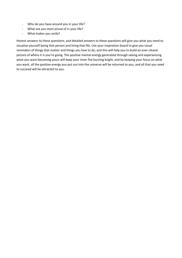- Who do you have around you in your life?
- What are you most proud of in your life?
- What makes you smile?

Honest answers to these questions, and detailed answers to these questions will give you what you need to visualise yourself being that person and living that life. Use your inspiration board to give you visual reminders of things that matter and things you love to do, and this will help you to build an ever-clearer picture of where it is you're going. The positive mental energy generated through seeing and experiencing what you want becoming yours will keep your inner fire burning bright, and by keeping your focus on what you want, all the positive energy you put out into the universe will be returned to you, and all that you need to succeed will be attracted to you.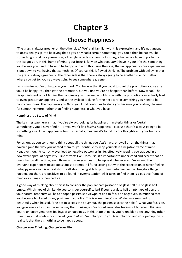## **Choose Happiness**

"The grass is always greener on the other side." We're all familiar with this expression, and it's not unusual to occasionally slip into believing that if you only had a certain something, you could then be happy. The 'something' could be a possession, a lifestyle, a certain amount of money, a house, a job, an opportunity… the list goes on. In this frame of mind, your focus is fully on what you *don't* have in your life; the something you believe you need to have to be happy, and with this being the case, the unhappiness you're experiencing is put down to *not* having that something. Of course, this is flawed thinking. The problem with believing that the grass is always greener on the other side is that there's always going to be another side: no matter where you get to, you're always going to see somewhere greener.

Let's imagine you're unhappy in your work. You believe that if you could just get the promotion you're after, you'd be happy. You then get the promotion, but you find you're no happier than before. Now what? The disappointment of not finding the happiness you imagined would come with the promotion can actually lead to even greater unhappiness… and so the cycle of looking for the next certain something you need to be happy continues. The happiness you *think* you'll find continues to elude you because you're always looking for something more, rather than finding happiness in what you have.

## **Happiness Is a State of Mind**

The key message here is that if you're always looking for happiness in material things or 'certain somethings', you'll never find it – or you won't find *lasting* happiness – because there's always going to be something else. True happiness is found internally, meaning it's found in your thoughts and your frame of mind.

For as long as you continue to think about all the things you *don't* have, or dwell on all the things that *haven't* gone the way you wanted them to, you continue to keep yourself in a negative frame of mind. Negative thoughts can only ever lead to negative outcomes in life, effectively keeping you trapped in a downward spiral of negativity – like attracts like. Of course, it's important to understand and accept that no one is happy all the time, even those who always appear to be upbeat whenever you're around them. Everyone experiences upset and sadness at times in life, so setting out with the expectation of never feeling unhappy ever again is unrealistic. It's all about being able to put things into perspective. Negative things happen, but there are positives to be found in every situation. All it takes to find them is a positive frame of mind or a change of perspective.

A good way of thinking about this is to consider the popular categorisation of glass half full or glass half empty. Which type of thinker do you consider yourself to be? If you're a glass half empty type of person, your natural tendency will be to adopt a pessimistic viewpoint and to focus on negatives, so much so that you become blinkered to any positives in your life. This is something Oscar Wilde once summed up beautifully when he said, "The optimist sees the doughnut, the pessimist sees the hole." What you focus on, you give energy to, so in the same way that thinking you're bored generates feelings of boredom, thinking you're unhappy generates feelings of unhappiness. In this state of mind, you're unable to see anything other than things that confirm your belief: you *think* you're unhappy, so you *feel* unhappy, and your perception of reality is that there's nothing to be happy about.

## **Change Your Thinking, Change Your Life**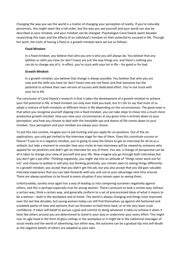Changing the way you see the world is a matter of changing your perception of reality. If you're naturally pessimistic, this might seem like a tall order, but the way you see yourself and your world can also be described as your mindset, and your mindset *can* be changed. Psychologist Carol Dweck spent decades researching this topic and the effects of an individual's mindset on their potential to succeed in life. Through her work, the traits of having a fixed or a growth mindset were set out as follows:

#### **Fixed Mindset:**

In a fixed mindset, you believe that who you are is who you will always be. You believe that any abilities or skills you have (or don't have) are just the way things are, and there's nothing you can do to change any of it. In effect, you're stuck with your lot in life – for good or for bad.

## **Growth Mindset:**

In a growth mindset, you believe that change is always possible. You believe that who you are now and the skills you have (or don't have) now are not fixed, and that everyone has the potential to achieve their own version of success with dedicated effort. You're *not* stuck with your lot in life.

The conclusion of Carol Dweck's research is that it takes the development of a growth mindset to achieve your full potential in life. A fixed mindset can only ever hold you back, but it's fair to say that most of us adopt a mixture of both mindsets at different times in life depending on the circumstances. The good news is that when you recognise yourself slipping into a fixed mindset, you can take steps to move into a much more productive growth mindset. How you view your circumstances at any given time is entirely down to your perception, and how you choose to deal with the inevitable ups and downs of life comes down to your mindset. Your perception and your mindset are always your choice.

To put this into context, imagine you're job hunting and you apply for six positions. Out of the six applications, you only get invited to the interview stage for two of them. Does this constitute success or failure? If you're in a negative mindset, you're going to view the failure to get an interview for all six as a setback, but take a moment to consider how your invite to two interviews will be viewed by someone who applied for six positions and didn't get an interview for any of them. You see, a change of perspective can be all it takes to change your view of yourself and your life. Now imagine you go through both interviews but you don't get a job offer. Thinking negatively, you might slip into an attitude of "things never work out for me" and choose to wallow in self-pity, but thinking positively, you remain open to seeing things differently. In a growth mindset, you accept that you didn't get the job, but you also accept that you did gain valuable interview experience that you can take forwards with you and use to your advantage next time around. There are always positives to be found in every situation if you remain open to seeing them.

Unfortunately, society once again has a way of leading us into comparing ourselves negatively against others, and this is perhaps especially true for young women. There's pressure to look a certain way, behave a certain way, think a certain way, and generally conform to a set of preconceived ideas of what it means to be a woman – both in the workplace and at home. The world is always changing and things have improved over the last few decades, but young women today can still find themselves up against old-fashioned and outdated points of view and opinions that can threaten to hold them back, or at the very least crush confidence. It takes self-belief to pursue a goal and commit to doing whatever it takes to achieve it when it feels like others around you are determined to stand in your way or undermine your every effort. This might rear its ugly head in the form of glass ceilings in the workplace or it might be in the subliminal messages of social media and the world of advertising, but either way, the outcome can be a gradual slip into self-doubt as the negative beliefs of others are adopted as your own.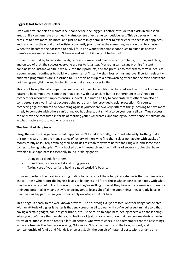#### **Bigger Is Not Necessarily Better**

Even when you're able to maintain self-confidence, the 'bigger is better' attitude that exists in almost all areas of life can generate an unhealthy atmosphere of extreme competitiveness. This also piles on the pressure to have more, do more, and just be more in general in order to experience the sense of happiness and satisfaction the world of advertising constantly promotes as the something we should all be chasing. When this becomes the backdrop to daily life, it's no wonder happiness continues to elude us because there's always something we don't have – and without it we can't be happy!

It's fair to say that by today's standards, 'success' is measured mainly in terms of fame, fortune, and bling, and on top of that, the success everyone aspires to is *instant.* Marketing campaigns promise 'instant happiness' or 'instant wealth' if we buy into their products, and the pressure to conform to certain ideals as a young woman continues to build with promises of 'instant weight loss' or 'instant love' if certain celebrityendorsed programmes are subscribed to. All of this adds up to a brainwashing effect and the false belief that *no*t having everything – and having it now – makes you a loser in life.

This is not to say that all competitiveness is a bad thing. In fact, life scientists believe that it's part of human nature to be competitive, something that began with our ancient hunter gatherer ancestors' need to compete for resources simply to ensure survival. Our innate ability to cooperate with others can also be considered a survival instinct because being part of a 'tribe' provided crucial protection. Of course, competing against others and competing against yourself are two very different things. Striving to have more simply to compete with others can't bring you happiness, but striving to be your best self can. True success can only ever be measured in terms of realising your *own* dreams, and finding your own sense of satisfaction in what matters most to you – no one else.

#### **The Pursuit of Happiness**

Okay, the main message here is that happiness isn't found externally, it's found internally. Nothing makes this point clearer than the many stories of lottery winners who find themselves no happier with stacks of money to buy absolutely anything their heart desires than they were before their big win, and some even confess to being unhappier. This is backed up with research and the findings of several studies that have revealed true happiness is essentially found in 'doing good':

- Doing good deeds for others
- Doing things you're good at and bring you joy
- Taking care of yourself and having a good work/life balance.

However, perhaps the most interesting finding to come out of these happiness studies is that happiness is a choice. Those who report the highest levels of happiness in life are those who choose to be happy with what they have at any point in life. This is not to say they're settling for what they have and choosing not to realise their true potential, it means they're choosing *not* to lose sight of all the good things they already have in their life – as happens when your focus is only on what you *don't* have.

This brings us neatly to the well-known proverb: *The best things in life are free.* Another danger associated with an attitude of bigger is better is that envy creeps in all too easily. If you're being subliminally told that having a certain gadget, car, designer brand, etc., is the route to happiness, seeing others with those things when you don't have them might lead to feelings of jealously – an emotion that can become destructive in terms of relationships with others if left unchecked. One way to check it is to remember that the best things in life are free. As the Beatles once sang, "Money can't buy me love…" and the love, support, and companionship of family and friends is priceless. Sadly, the pursuit of material possessions or fame and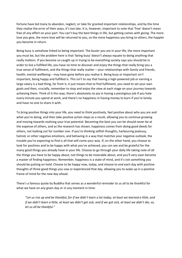fortune have led many to abandon, neglect, or take for granted important relationships, and by the time they realise the error of their ways, it's too late. It is, however, important to note that 'free' doesn't mean free of any effort on your part. You can't buy the best things in life, but getting comes with giving. The more love you give, the more love will be returned to you, so the more happiness you bring to others, the happier you become in return.

Being busy is somehow linked to being important. The busier you are in your life, the more important you must be, but the problem here is that 'being busy' doesn't always equate to doing anything that really matters. If you become so caught up in trying to be everything society says you should be in order to live a fulfilled life, you have no time to discover and enjoy the things that really bring you a true sense of fulfilment, and the things that really matter – your relationships with family and friends, health, mental wellbeing – may have gone before you realise it. Being busy or important *isn't*  important, being happy and fulfilled is. This isn't to say that having a high-powered job or earning a large salary is a bad thing, far from it, it just means that to find fulfilment, you need to set your own goals and then, crucially, remember to stop and enjoy the view at each stage on your journey towards achieving them. Think of it this way; there's absolutely no joy in having a prestigious job if you hate every minute you spend at work, and there's no happiness in having money to burn if you're lonely and have no one to share it with.

To bring positive things into your life, you need to think positively, feel positive about who you are and what you're doing, and then take positive action steps as a result, allowing you to continue growing and moving towards realising your true potential. Becoming the best you can be should never be at the expense of others, and as the research has shown, happiness comes from doing good deeds for others, not looking out for number one. If you're thinking selfish thoughts, harbouring jealousy, hatred, or other negative emotions, and behaving in a way that matches your negative outlook, the trouble you're expecting to find is all that will come your way. If, on the other hand, you choose to look for positives and to be happy with what you've achieved, you can see and be grateful for the many good things you already have in your life. Choose to go through your daily life taking note of all the things you have to be happy about, not things to be miserable about, and you'll very soon become a master of finding happiness. Remember, happiness is a state of mind, and it's not something you should be putting on hold. Choose to be happy now, today, and choose to end each day with positive thoughts of three good things you saw or experienced that day, allowing you to wake up in a positive frame of mind for the new day ahead.

There's a famous quote by Buddha that serves as a wonderful reminder to us all to be thankful for what we have on any given day or in any moment in time:

*"Let us rise up and be thankful, for if we didn't learn a lot today, at least we learned a little, and if we didn't learn a little, at least we didn't get sick, and if we got sick, at least we didn't die; so, let us all be thankful."*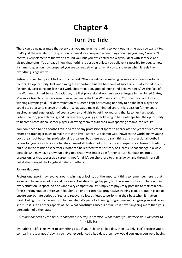## **Turn the Tide**

There can be no guarantee that every plan you make in life is going to work out just the way you want it to, that's just the way life is. The question is, how do you respond when things don't go your way? You can't control every element of the world around you, but you *can* control the way you deal with setbacks and disappointments. You already know that nothing is possible unless you believe it's possible for you, so now it's time to question how prepared you are to keep striving for what you want, even when it feels like everything is against you.

Retired soccer champion Mia Hamm once said, "No-one gets an iron-clad guarantee of success. Certainly, factors like opportunity, luck and timing are important, but the backbone of success is usually found in oldfashioned, basic concepts like hard work, determination, good planning and perseverance." As the face of the Women's United Soccer Association, the first professional women's soccer league in the United States, Mia was a trailblazer in her career, twice becoming the FIFA Women's World Cup champion and twice winning Olympic gold. Her determination to succeed kept her striving not only to be the best player she could be, but also to change attitudes in what was a male-dominated sport. Mia's passion for her sport inspired an entire generation of young women and girls to get involved, and thanks to her hard work, determination, good planning, and perseverance, young girls following in her footsteps had the opportunity to become professional soccer players, allowing them to turn their own sporting dreams into reality.

You don't need to be a football fan, or a fan of any professional sport, to appreciate the years of dedicated effort and training it takes to make it to elite level. Before Mia Hamm was known to the world, many young boys dreamt of becoming professional footballers, but there was no such thing as a professional football career for young girls to aspire to. She changed attitudes, not just in a sport steeped in centuries of tradition, but also in the minds of spectators. What can be learned from her story of success is that change is always possible. She may have grown up being told that it was impossible for her to turn her passion into a profession, or that soccer as a career is 'not for girls', but she chose to play anyway, and through her selfbelief she changed the long-held beliefs of others.

## **Failure Happens**

Professional sport may revolve around winning or losing, but the important thing to remember here is that losing and failing are not one and the same. Negative things happen, but there are positives to be found in every situation. In sport, no one wins every competition, it's simply not physically possible to maintain peak fitness throughout an entire year, let alone an entire career, so progressive training plans are put in place to ensure appropriate periods of rest and recovery allow athletes to perform at their best when it matters most. Failing to win an event isn't failure when it's part of a training programme and a bigger plan and, as in sport, so it is in all other aspects of life. What constitutes success or failure is never anything more than your perception of either state.

*"Failure happens all the time. It happens every day in practice. What makes you better is how you react to it." –* Mia Hamm

Everything in life is relevant to something else. If you're having a bad day, then it's only 'bad' because you're comparing it to a 'good' day; if you never experienced a bad day, then how would you know you were having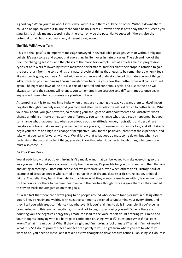a good day? When you think about it this way, without one there could be no other. Without downs there could be no ups, so without failure there could be no success. However, this is not to say that to succeed you *must* fail, it simply means accepting that there can only be the potential to succeed if there's also the potential to fail, but *accepting* is very different to *expecting.* 

## **The Tide Will Always Turn**

'This too shall pass' is an important message conveyed in several Bible passages. With or without religious beliefs, it's easy to see and accept that everything in life moves in natural cycles. The ebb and flow of the tide, the changing seasons, and the phases of the moon for example. Just as athletes train in progressive cycles of hard work followed by rest to maximise performance, farmers plant their crops in rotation to gain the best return from the soil, and it's this natural cycle of things that needs to be remembered when it feels like nothing is going your way. Armed with an acceptance and understanding of this natural way of things adds power to positive thinking through rough times because you know that better times will come around again. The highs and lows of life are just part of a natural and continuous cycle, and just as the tide will always turn and the seasons will change, you can emerge from setbacks and difficult times to once again enjoy good times when you maintain a positive outlook.

As tempting as it is to wallow in self-pity when things are not going the way you want them to, dwelling on negative thoughts can only ever hold you back and effectively delay the natural return to better times. What you think about, you give power to, so focusing your thoughts on disappointments and "disasters" won't change anything or make things turn out differently. You can't change what has already happened, but you *can* change what happens next when you adopt a positive attitude. Anger, frustration, and despair are negative emotions that can keep you trapped where you are, prolonging your stay in a low, and all it takes to begin your return to a high is a change of perspective. Look for the positives, learn from the experience, and take what you learn forwards with you. We all know that what goes up must come down, but when you understand the natural cycle of things, you also know that when it comes to tough times, what goes down must also come up!

## **Be Your Own 'Boss'**

You already know that positive thinking isn't a magic wand that can be waved to make everything go the way you want it to, but success comes firstly from believing it's possible for you to succeed and then thinking and acting accordingly. Successful people believe in themselves, even when others don't. History is full of examples of creative people who carried on pursuing their dreams despite criticism, rejection, or initial failure. The belief they had in their ability to achieve what they wanted came from within, leaving no room for the doubts of others to become their own, and the positive thought process gave them all they needed to stay on track and *not* give up on their goals.

It's a sad fact that there are always going to be people around who seem to take pleasure in putting others down. They're ready and waiting with negative comments designed to undermine your every effort, and they'll tell you with great confidence that whatever it is you're aiming to do is impossible. If you're being bombarded with this level of negativity, it's hard not to begin questioning yourself. When others are doubting you, the negative energy they create can lead to the voice of self-doubt entering your mind and your thoughts, bringing with it a barrage of confidence-crushing 'what if?' questions: What if it all goes wrong? What if I can't do it? What if they're right and I'm making a fool of myself? What if I'm not ready? What if…? Self-doubt promotes fear, and fear can paralyze you. To get from where you are to where you want to be, you need to move, and it takes positive thoughts to drive positive actions. Banishing self-doubt is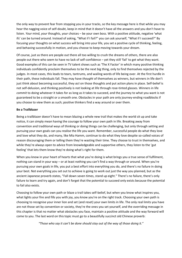the only way to prevent fear from stopping you in your tracks, so the key message here is that while you may hear the nagging voice of self-doubt, keep in mind that it doesn't have all the answers and you don't have to listen. *Your* mind, *your* thoughts, *your* choices – be your own boss. With a positive attitude, negative 'what ifs' can be turned around. Instead of asking, "What if I fail?" you can ask yourself, "What if I succeed?" By focusing your thoughts on what success will bring into your life, you set a positive cycle of thinking, feeling, and behaving successfully in motion, and you choose to keep moving towards your dream.

Of course, just as there are people out there all too willing to crush the dreams of others, there are also people out there who seem to have no lack of self-confidence – yet they still 'fail' to get what they want. Good examples of this can be seen in TV talent shows such as 'The X Factor' in which many positive thinking individuals confidently proclaim themselves to be the next big thing, only to find themselves rejected by the judges. In most cases, this leads to tears, tantrums, and wailing words of life being over. At the first hurdle in their path, these individuals fall. They may have *thought* of themselves as winners, but winners in life don't just think about becoming successful, they *act* on those thoughts and put action plans in place. Self-belief is not self-delusion, and thinking positively is not looking at life through rose-tinted glasses. Winners in life *commit* to doing whatever it takes for as long as it takes to succeed, and the journey to what you want is not guaranteed to be a straight or a smooth one. Obstacles in your path are only journey-ending roadblocks if you choose to view them as such; positive thinkers find a way around or over them.

## **Be a Trailblazer**

Being a trailblazer doesn't have to mean blazing a whole new trail that makes the world sit up and take notice, it can simply mean having the courage to follow your own path in life. Breaking away from convention and traditional ways of thinking or doing things can be challenging, but only through setting and pursuing your own goals can you realise the life you want. Remember, successful people do what they love and love what they do, and many, like Mia Hamm, continue to do what they love despite so-called voices of reason discouraging them or telling them they're wasting their time. They choose to trust in themselves, and while they're always open to advice from knowledgeable and supportive others, they listen to the 'gut feeling' that lets them know they're doing what's right for them.

When you know in your heart of hearts that what you're doing is what brings you a true sense of fulfilment, nothing can stand in your way – or at least nothing you can't find a way through or around. When you're pursuing your own goals in life, you put a best effort into everything you do, and there's no failure in doing your best. Not everything you set out to achieve is going to work out just the way you planned, but as the ancient Japanese proverb states, "Fall down seven times, stand up eight." There's no failure, there's only failure to learn and try again, and don't forget that the potential to succeed only exists because the potential to fail also exists.

Choosing to follow your own path or blaze a trail takes self-belief, but when you know what inspires you, what lights your fire and fills you with joy, you know you're on the right track. Choosing your own path is choosing to recognise your inner lion and set (and reset) your own limits in life. The only real limits you have are not those set by convention or society, they're the ones you set yourself, and the overriding message in this chapter is that no matter what obstacles you face, maintain a positive attitude and the way forward will come to you. The last word on this topic must go to a beautifully succinct old Chinese proverb:

*"Those who say it can't be done should stay out of the way of those doing it."*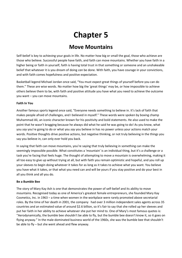## **Move Mountains**

Self-belief is key to achieving your goals in life. No matter how big or small the goal, those who achieve are those who believe. Successful people have faith, and faith can move mountains. Whether you have faith in a higher being or faith in yourself, faith is having total trust in that something or someone and an unshakeable belief that whatever it is you dream of doing *can* be done. With faith, you have courage in your convictions, and with faith comes hopefulness and positive expectation.

Basketball legend Michael Jordan once said, "You must expect great things of yourself before you can do them." These are wise words. No matter how big the 'great things' may be, or how impossible to achieve others believe them to be, with faith and positive attitude you have what you need to achieve the outcome you want – you can move mountains.

## **Faith In You**

Another famous sports legend once said, "Everyone needs something to believe in. It's lack of faith that makes people afraid of challenges, and I believed in myself." These words were spoken by boxing champ Muhammad Ali, an iconic character known for his positivity and bold statements. He also used to make the point that he wasn't bragging because he always did what he said he was going to do! As you know, what you *say* you're going to do or what you *say* you believe in has no power unless your actions match your words. Positive thoughts drive positive actions, but negative thinking, or not truly believing in the things you say you believe in, can only ever hold you back.

In saying that faith can move mountains, you're saying that truly believing in something can make the seemingly impossible possible. What constitutes a 'mountain' is an individual thing, but it's a challenge or a task you're facing that feels huge. The thought of attempting to move a mountain is overwhelming, making it all too easy to give up without trying at all, but with faith you remain optimistic and hopeful, and you roll up your sleeves to begin doing whatever it takes for as long as it takes to achieve what you want. You believe you have what it takes, or that what you need can and will be yours if you stay positive and do your best in all you think and all you do.

#### **Be a Bumble Bee**

The story of Mary Kay Ash is one that demonstrates the power of self-belief and its ability to move mountains. Recognised today as one of America's greatest female entrepreneurs, she founded Mary Kay Cosmetics, Inc. in 1963 – a time when women in the workplace were rarely promoted above secretarial roles. By the time of her death in 2001, the company had over 3 million independent sales agents across 35 countries and an estimated value of around \$2.6 billion, so it's fair to say that she rolled up her sleeves and put her faith in her ability to achieve whatever she put her mind to. One of Mary's most famous quotes is: "Aerodynamically, the bumble bee shouldn't be able to fly, but the bumble bee doesn't know it, so it goes on flying anyway." In the male-dominated business world of the 1960s, she was the bumble bee that shouldn't be able to fly – but she went ahead and flew anyway.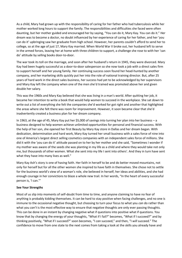As a child, Mary had grown up with the responsibility of caring for her father who had tuberculosis while her mother worked long hours to support the family. The responsibilities and difficulties she faced were often daunting, but her mother guided and encouraged her by saying, "You can do it, Mary Kay. You can do it." Her dream was to become a doctor, no doubt influenced by her experience of caring for her father, and her 'you can do it' upbringing saw her graduate from high school. However, her parents couldn't afford to send her to college, so at the age of just 17, Mary Kay married. When World War II broke out, her husband left to serve in the armed forces, leaving her at home with three children to support, a challenge she rose to with her 'can do' attitude by selling books door-to-door.

The war took its toll on the marriage, and soon after her husband's return in 1945, they were divorced. Mary Kay had been hugely successful as a door-to-door salesperson so she now took a job with a direct sales firm to support herself and her young family. Her continuing success soon found her head-hunted by another company, and her marketing skills quickly put her into the role of national training director. But, after 25 years of hard work in the direct sales business, her success had yet to be acknowledged by her supervisors and Mary Kay left the company when one of the men she'd trained was promoted above her and given double her salary.

This was the 1960s and Mary Kay believed that she was living in a man's world. After quitting her job, it became her intention to write a book that would help women to succeed in the workplace. She sat down to write out a list of everything she felt the companies she'd worked for got right and another that highlighted the areas where she felt there was room for improvement. However, it soon became clear that she'd inadvertently created a business plan for her dream company.

In 1963, at the age of 45, Mary Kay put her \$5,000 of savings into turning her plan into her business – a business designed to help women achieve unlimited opportunities for personal and financial success. With the help of her son, she opened her first Beauty by Mary Kay store in Dallas and her dream began. With dedication, determination and hard work, Mary Kay turned her small business with a sales force of nine into one of America's largest direct selling cosmetics companies with an independent sales force of millions. She did it with the 'you can do it' attitude passed on to her by her mother and she said, "Sometimes I wonder if my mother was aware of the seeds she was planting in my life as a child and where they would take not only me, but thousands of other women. What she sent into my life I sent into others'. And they in turn have sent what they have into many lives as well."

Mary Kay Ash's story is one of having faith. Her faith in herself to be and do better moved mountains, not only for herself but for all the other women she inspired to have faith in themselves. She chose not to settle for the business world's view of a woman's role, she believed in herself, her ideas and abilities, and she had enough courage in her convictions to blaze a whole new trail. In her words, "In the heart of every successful person is, 'I can.'"

## **See Your Strengths**

Most of us slip into moments of self-doubt from time to time, and anyone claiming to have no fear of anything is probably kidding themselves. It can be hard to stay positive when facing challenges, and no one is immune to the occasional negative thought, but choosing to turn your focus to what you *can* do rather than what you *can't* is the most effective way to ensure that negative thoughts are only ever passing thoughts. This can be done in an instant by changing negative what if questions into positive what if questions. You know that by changing the energy of your thoughts, "What if I fail?" becomes, "What if I succeed?" and by thinking positively, "What if I succeed?" soon becomes, "I *can* succeed," and then, "I *will* succeed." The confidence to move from one state to the next comes from taking a look at the skills you already have and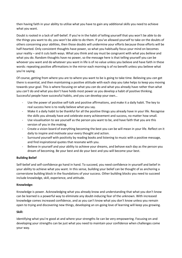then having faith in your ability to utilise what you have to gain any additional skills you need to achieve what you want.

Doubt is rooted in a lack of self-belief. If you're in the habit of telling yourself that you won't be able to do the things you want to do, you won't be able to do them. If you've allowed yourself to take on the doubts of others concerning your abilities, then those doubts will undermine your efforts because those efforts will be half-hearted. Only consistent thoughts have power, so what you habitually focus your mind on becomes your reality – and it cuts both ways. What you think and say must be congruent with what you *believe* and what you do. Random thoughts have no power, so the message here is that telling yourself you can be whoever you want and do whatever you want in life is of no value unless you believe and have faith in these words: repeating positive affirmations in the mirror each morning is of no benefit unless you believe what you're saying.

Of course, getting from where you are to where you want to be is going to take time. Believing you *can* get there is essential, and then maintaining a positive attitude with each step you take helps to keep you moving towards your goal. This is where focusing on what you *can* do and what you already have rather than what you *can't* do and what you don't have holds most power as you develop a habit of positive thinking. Successful people have successful habits, and you can develop your own…

- Use the power of positive self-talk and positive affirmations, and make it a daily habit. The key to real success here is to really believe what you say.
- Make it a daily habit to be thankful for all the positive things you already have in your life. Recognise the skills you already have and celebrate every achievement and success, no matter how small.
- Use visualisation to see yourself as the person you want to be, and have faith that you are this version of you in the making.
- Create a vision board of everything becoming the best you can be will mean in your life. Reflect on it daily to inspire and motivate your every thought and action.
- Surround yourself with positivity by reading books and listening to music with a positive message, and find inspirational quotes that resonate with you.
- Believe in yourself and your ability to achieve your dreams, and behave each day as the person you dream of becoming. Be your best and do your best and you will become your best.

## **Building Belief**

Self-belief and self-confidence go hand in hand. To succeed, you need confidence in yourself and belief in your ability to achieve what you want. In this sense, building your belief can be thought of as anchoring a cornerstone building block in the foundations of your success. Other building blocks you need to succeed include knowledge, skill, experience, and attitude.

## **Knowledge:**

Knowledge is power. Acknowledging what you already know and understanding that what you don't know can be learned is a powerful way to eliminate any doubt-inducing fear of the unknown. With increased knowledge comes increased confidence, and as you can't know what you don't know unless you remain open to trying and discovering new things, developing an on-going love of learning will keep you growing.

## **Skill:**

Identifying what you're good at and where your strengths lie can be very empowering. Focusing on and developing your strengths can be just what you need to maintain your confidence when challenges come your way.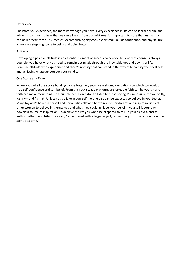## **Experience:**

The more you experience, the more knowledge you have. Every experience in life can be learned from, and while it's common to hear that we can all learn from our mistakes, it's important to note that just as much can be learned from our successes. Accomplishing any goal, big or small, builds confidence, and any 'failure' is merely a stepping stone to being and doing better.

## **Attitude:**

Developing a positive attitude is an essential element of success. When you believe that change is always possible, you have what you need to remain optimistic through the inevitable ups and downs of life. Combine attitude with experience and there's nothing that can stand in the way of becoming your best self and achieving whatever you put your mind to.

## **One Stone at a Time**

When you put all the above building blocks together, you create strong foundations on which to develop true self-confidence and self-belief. From this rock-steady platform, unshakeable faith can be yours – and faith can move mountains. Be a bumble bee. Don't stop to listen to those saying it's impossible for you to fly, just fly – and fly high. Unless you believe in yourself, no one else can be expected to believe in you. Just as Mary Kay Ash's belief in herself and her abilities allowed her to realise her dreams and inspire millions of other women to believe in themselves and what they could achieve, your belief in yourself is your own powerful source of inspiration. To achieve the life you want, be prepared to roll up your sleeves, and as author Catherine Pulsifer once said, "When faced with a large project, remember you move a mountain one stone at a time."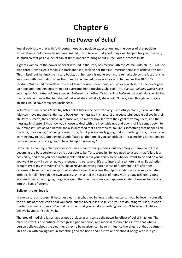## **The Power of Belief**

You already know that with faith comes hope and positive expectation, and the power of that positive expectation should never be underestimated. If you *believe* that good things will happen for you, they will; so much so that positive belief can at times appear to bring about miraculous outcomes in life.

A great example of the power of belief is found in the story of American athlete Wilma Rudolph. In 1960, she won three Olympic gold medals in track and field, making her the first American female to achieve this feat. This in itself put her into the history books, but her story is made even more remarkable by the fact that she was born with health difficulties that meant she needed to wear a brace on her leg. As the 20<sup>th</sup> of 22 children, Wilma had to battle with scarlet fever, double pneumonia, and polio as a child, but she never gave up hope and remained determined to overcome her difficulties. She said, *"My doctors told me I would never walk again. My mother told me I would. I believed my mother."* What Wilma *believed* she could do, she did, but the incredible thing is that had she *not* believed she could do it, she wouldn't have, even though her physical abilities would have remained unchanged.

Wilma's attitude echoes Mary Kay Ash's belief that in the heart of every successful person is, 'I can,' and that faith can move mountains. Her story backs up the message in chapter 2 that successful people believe in their ability to succeed, they believe in themselves, no matter how far from their goal they may seem, and the message in chapter 3 that how you choose to deal with the inevitable ups and downs of life comes down to your mindset. Just as Mia Hamm, she also accepted that as an athlete, failure is something that happens all the time, once saying, "Winning is great, sure, but if you are really going to do something in life, the secret is learning how to lose. Nobody goes undefeated all the time. If you can pick up after a crushing defeat, and go on to win again, you are going to be a champion someday."

Of course, becoming a champion in sport may mean winning medals, but becoming a champion in life is becoming the best version of you it's possible to be. To succeed in life, you need to accept that failure is a possibility, and then you need unshakeable self-belief in your ability to be who you want to be and do what you want to do – if you roll up your sleeves and persevere. It's also interesting to note that while athletics brought great joy into Wilma's life, she achieved an even greater sense of fulfilment in life after her retirement from competitive sport when she formed the Wilma Rudolph Foundation to promote amateur athletics for all. Through her own success, she inspired the success of many more young athletes, young women in particular, highlighting once again that the true source of happiness in life is bringing happiness into the lives of others.

## **Believe It to Achieve It**

In every story of success, it becomes clear that what *you* believe is what matters. If you believe in yourself, the doubts of others can't hold you back, but the reverse is also true; if you are doubting yourself, it won't matter how many times you're told by others that you can do something, you won't believe it. Until *you*  believe it, you can't achieve it.

The area of medicine is perhaps as good a place as any to see the powerful effect of belief in action. The placebo effect is a scientifically recognised phenomenon, and medical research has shown that what a person believes about the treatment they're being given can hugely influence the effects of that treatment. This ties in with having faith in something and the hope and positive anticipation it brings with it. If you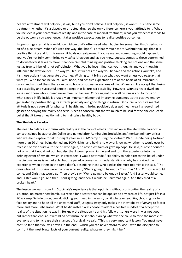believe a treatment will help you, it will, but if you don't believe it will help you, it won't. This is the same treatment, whether it's a placebo or an actual drug, so the only difference here is your attitude to it. What you believe is your perception of reality, and in the case of medical treatment, what you expect of it tends to be the outcome you experience. It takes positive expectations to realise positive outcomes.

'Hope springs eternal' is a well-known idiom that's often used when hoping for something that's perhaps a bit of a pipe dream. When it's used this way, the 'hope' is probably much more 'wishful thinking' than it is positive thinking and for this reason it holds no real power. If you're *wishing* something would happen for you, you're not fully committing to *making* it happen and, as you know, success comes to those determined to do whatever it takes to make it happen. Wishful thinking and positive thinking are not one and the same, just as true self-belief is not self-delusion. What you believe influences your thoughts and your thoughts influence the way you feel. The way you feel influences the way you behave and the actions you take, and it's those actions that generate outcomes. Wishing can't bring you what you want unless you *believe* that what you wish for can be yours. Faith, hope, and positive expectation are at the heart of all 'miraculous cures' and without them there can be no hope of success in any area of life. Winners in life accept that losing is a possibility and successful people accept that failure is a possibility. However, winners never dwell on losses and those who succeed never dwell on failures. Choosing not to dwell on illness and to focus on what's good in life inside is arguably an important element of improving outcomes as the positive energy generated by positive thoughts attracts positivity and good things in return. Of course, a positive mental attitude is not a cure all for physical ill health, and thinking positively does *not* mean wearing rose-tinted glasses or denying the reality of a serious health concern, but there's much to be said for the ancient Greek belief that it takes a healthy mind to maintain a healthy body.

## **The Stockdale Paradox**

The need to balance optimism with reality is at the core of what's now known as the Stockdale Paradox, a concept coined by author Jim Collins and named after Admiral Jim Stockdale, an American military officer who was held captive for almost eight years in a POW camp during the Vietnam War. Despite being tortured more than 20 times, being denied any POW rights, and having no way of knowing whether he would ever be released or even survive to see his wife again, he never lost faith or gave up hope. He said, "I never doubted not only that I would get out, but also that I would prevail in the end and turn the experience into the defining event of my life, which, in retrospect, I would not trade." His ability to hold firm to this belief under the circumstances is remarkable, but the paradox comes in his understanding of why he survived the experience when others in the camp didn't, describing those who died as the most optimistic. He said, "The ones who didn't survive were the ones who said, 'We're going to be out by Christmas.' And Christmas would come, and Christmas would go. Then they'd say, 'We're going to be out by Easter.' And Easter would come, and Easter would go. And then Thanksgiving, and then it would be Christmas again. And they died of a broken heart."

The lesson we learn from Jim Stockdale's experience is that optimism without confronting the reality of a situation, no matter how harsh, is a recipe for disaster that can be applied to any area of life, not just life in a POW camp. Self-delusion, denial, sticking your head in the sand, call it whatever you like, choosing *not* to face reality and to hope all the unwanted stuff just goes away only makes the inevitability of *having* to face it more and more unbearable. What he did instead was choose to adopt a positive mindset *and* accept the reality of the situation he was in. He knew the situation he and his fellow prisoners were in was not good, but rather than endure it with blind optimism, he set about *doing* whatever he could to raise the morale of everyone and to increase their chances of survival. He said, "This is a very important lesson. You must never confuse faith that you will prevail in the end – which you can never afford to lose – with the discipline to confront the most brutal facts of your current reality, whatever they might be."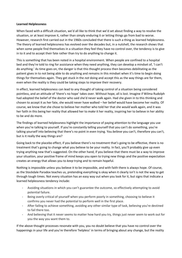#### **Learned Helplessness**

When faced with a difficult situation, we'd all like to think that we'd set about finding a way to resolve the situation, or at least improve it, rather than simply enduring it or letting things go from bad to worse. However, research first carried out in the 1960s concluded that there is such a thing as learned helplessness. The theory of learned helplessness has evolved over the decades but, in a nutshell, the research shows that when some people find themselves in a situation they feel they have no control over, the tendency is to give in to it and to accept their fate rather than try to do anything to change it.

This is something that has been noted in a hospital environment. When people are confined to a hospital bed and they're told to ring for assistance when they need anything, they can develop a mindset of, 'I can't do anything.' As time goes on, the danger is that this thought process then becomes debilitating as the patient gives in to not being able to do anything and remains in this mindset when it's time to begin doing things for themselves again. They get stuck in the *not* doing and accept this as the way things are for them, even when the reality is they could be taking steps to improve their recovery.

In effect, learned helplessness can lead to any thought of taking control of a situation being considered pointless, and an attitude of 'there's no hope' takes over. Without hope, all is lost. Imagine if Wilma Rudolph had adopted the belief of the doctor who said she'd never walk again. Had she given in to this thinking and chosen to accept it as her fate, she would never have walked – her belief would have become her reality. Of course, we know that she chose to believe her mother who told her that she *would* walk again, and it was her faith in this being her reality that allowed her to *make* it her reality, inspiring her to believe in her ability to be and do more.

The findings of learned helplessness highlight the importance of paying attention to the language you use when you're talking to yourself. If you're constantly telling yourself that you can't do something, you're talking yourself into believing that there's no point in even trying. You *believe* you can't, therefore you can't, but is it really the way things are?

Going back to the placebo effect, if you believe there's no treatment that's going to be effective, there is no treatment that's going to change what you believe to be your reality. In fact, you'll probably give up even trying anything new that's suggested. On the other hand, if you believe that there must be a way to improve your situation, your positive frame of mind keeps you open to trying new things and the positive expectation creates an energy that allows you to *keep* trying and to remain hopeful.

Nothing is impossible unless you believe it to be impossible, and with faith there is always hope. Of course, as the Stockdale Paradox teaches us, pretending everything is okay when it clearly isn't is not the way to get through tough times. Not every situation has an easy way out when you look for it, but signs that indicate a learned helplessness tendency include:

- Avoiding situations in which you can't guarantee the outcome, so effectively attempting to avoid potential failure.
- Being overly critical of yourself when you perform poorly in something, choosing to believe it confirms you never had the potential to perform well in the first place.
- After failing to achieve something, avoiding any other similar type of task, believing you're destined to fail there too.
- And believing that it never seems to matter how hard you try, things just never seem to work out for you the way you want them to.

If the above thought processes resonate with you, you no doubt believe that you have no control over the happenings in your life and you're therefore 'helpless' in terms of bringing about any change, but the reality